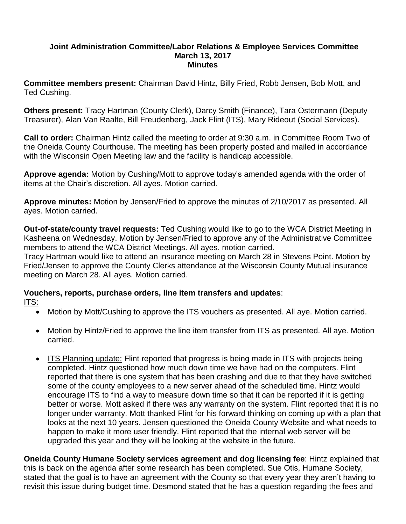### **Joint Administration Committee/Labor Relations & Employee Services Committee March 13, 2017 Minutes**

**Committee members present:** Chairman David Hintz, Billy Fried, Robb Jensen, Bob Mott, and Ted Cushing.

**Others present:** Tracy Hartman (County Clerk), Darcy Smith (Finance), Tara Ostermann (Deputy Treasurer), Alan Van Raalte, Bill Freudenberg, Jack Flint (ITS), Mary Rideout (Social Services).

**Call to order:** Chairman Hintz called the meeting to order at 9:30 a.m. in Committee Room Two of the Oneida County Courthouse. The meeting has been properly posted and mailed in accordance with the Wisconsin Open Meeting law and the facility is handicap accessible.

**Approve agenda:** Motion by Cushing/Mott to approve today's amended agenda with the order of items at the Chair's discretion. All ayes. Motion carried.

**Approve minutes:** Motion by Jensen/Fried to approve the minutes of 2/10/2017 as presented. All ayes. Motion carried.

**Out-of-state/county travel requests:** Ted Cushing would like to go to the WCA District Meeting in Kasheena on Wednesday. Motion by Jensen/Fried to approve any of the Administrative Committee members to attend the WCA District Meetings. All ayes. motion carried.

Tracy Hartman would like to attend an insurance meeting on March 28 in Stevens Point. Motion by Fried/Jensen to approve the County Clerks attendance at the Wisconsin County Mutual insurance meeting on March 28. All ayes. Motion carried.

### **Vouchers, reports, purchase orders, line item transfers and updates**: ITS:

- Motion by Mott/Cushing to approve the ITS vouchers as presented. All aye. Motion carried.
- Motion by Hintz/Fried to approve the line item transfer from ITS as presented. All aye. Motion carried.
- ITS Planning update: Flint reported that progress is being made in ITS with projects being completed. Hintz questioned how much down time we have had on the computers. Flint reported that there is one system that has been crashing and due to that they have switched some of the county employees to a new server ahead of the scheduled time. Hintz would encourage ITS to find a way to measure down time so that it can be reported if it is getting better or worse. Mott asked if there was any warranty on the system. Flint reported that it is no longer under warranty. Mott thanked Flint for his forward thinking on coming up with a plan that looks at the next 10 years. Jensen questioned the Oneida County Website and what needs to happen to make it more user friendly. Flint reported that the internal web server will be upgraded this year and they will be looking at the website in the future.

**Oneida County Humane Society services agreement and dog licensing fee**: Hintz explained that this is back on the agenda after some research has been completed. Sue Otis, Humane Society, stated that the goal is to have an agreement with the County so that every year they aren't having to revisit this issue during budget time. Desmond stated that he has a question regarding the fees and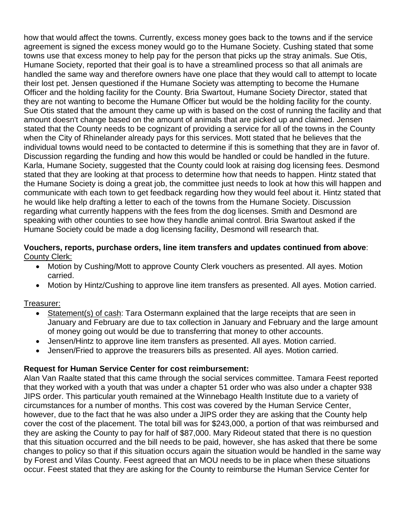how that would affect the towns. Currently, excess money goes back to the towns and if the service agreement is signed the excess money would go to the Humane Society. Cushing stated that some towns use that excess money to help pay for the person that picks up the stray animals. Sue Otis, Humane Society, reported that their goal is to have a streamlined process so that all animals are handled the same way and therefore owners have one place that they would call to attempt to locate their lost pet. Jensen questioned if the Humane Society was attempting to become the Humane Officer and the holding facility for the County. Bria Swartout, Humane Society Director, stated that they are not wanting to become the Humane Officer but would be the holding facility for the county. Sue Otis stated that the amount they came up with is based on the cost of running the facility and that amount doesn't change based on the amount of animals that are picked up and claimed. Jensen stated that the County needs to be cognizant of providing a service for all of the towns in the County when the City of Rhinelander already pays for this services. Mott stated that he believes that the individual towns would need to be contacted to determine if this is something that they are in favor of. Discussion regarding the funding and how this would be handled or could be handled in the future. Karla, Humane Society, suggested that the County could look at raising dog licensing fees. Desmond stated that they are looking at that process to determine how that needs to happen. Hintz stated that the Humane Society is doing a great job, the committee just needs to look at how this will happen and communicate with each town to get feedback regarding how they would feel about it. Hintz stated that he would like help drafting a letter to each of the towns from the Humane Society. Discussion regarding what currently happens with the fees from the dog licenses. Smith and Desmond are speaking with other counties to see how they handle animal control. Bria Swartout asked if the Humane Society could be made a dog licensing facility, Desmond will research that.

### **Vouchers, reports, purchase orders, line item transfers and updates continued from above**: County Clerk:

- Motion by Cushing/Mott to approve County Clerk vouchers as presented. All ayes. Motion carried.
- Motion by Hintz/Cushing to approve line item transfers as presented. All ayes. Motion carried.

### Treasurer:

- Statement(s) of cash: Tara Ostermann explained that the large receipts that are seen in January and February are due to tax collection in January and February and the large amount of money going out would be due to transferring that money to other accounts.
- Jensen/Hintz to approve line item transfers as presented. All ayes. Motion carried.
- Jensen/Fried to approve the treasurers bills as presented. All ayes. Motion carried.

### **Request for Human Service Center for cost reimbursement:**

Alan Van Raalte stated that this came through the social services committee. Tamara Feest reported that they worked with a youth that was under a chapter 51 order who was also under a chapter 938 JIPS order. This particular youth remained at the Winnebago Health Institute due to a variety of circumstances for a number of months. This cost was covered by the Human Service Center, however, due to the fact that he was also under a JIPS order they are asking that the County help cover the cost of the placement. The total bill was for \$243,000, a portion of that was reimbursed and they are asking the County to pay for half of \$87,000. Mary Rideout stated that there is no question that this situation occurred and the bill needs to be paid, however, she has asked that there be some changes to policy so that if this situation occurs again the situation would be handled in the same way by Forest and Vilas County. Feest agreed that an MOU needs to be in place when these situations occur. Feest stated that they are asking for the County to reimburse the Human Service Center for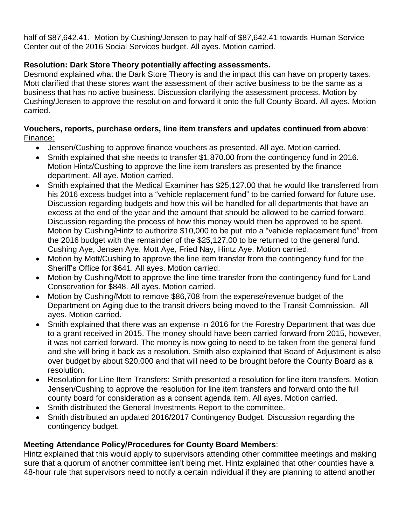half of \$87,642.41. Motion by Cushing/Jensen to pay half of \$87,642.41 towards Human Service Center out of the 2016 Social Services budget. All ayes. Motion carried.

# **Resolution: Dark Store Theory potentially affecting assessments.**

Desmond explained what the Dark Store Theory is and the impact this can have on property taxes. Mott clarified that these stores want the assessment of their active business to be the same as a business that has no active business. Discussion clarifying the assessment process. Motion by Cushing/Jensen to approve the resolution and forward it onto the full County Board. All ayes. Motion carried.

## **Vouchers, reports, purchase orders, line item transfers and updates continued from above**: Finance:

- Jensen/Cushing to approve finance vouchers as presented. All aye. Motion carried.
- Smith explained that she needs to transfer \$1,870.00 from the contingency fund in 2016. Motion Hintz/Cushing to approve the line item transfers as presented by the finance department. All aye. Motion carried.
- Smith explained that the Medical Examiner has \$25,127.00 that he would like transferred from his 2016 excess budget into a "vehicle replacement fund" to be carried forward for future use. Discussion regarding budgets and how this will be handled for all departments that have an excess at the end of the year and the amount that should be allowed to be carried forward. Discussion regarding the process of how this money would then be approved to be spent. Motion by Cushing/Hintz to authorize \$10,000 to be put into a "vehicle replacement fund" from the 2016 budget with the remainder of the \$25,127.00 to be returned to the general fund. Cushing Aye, Jensen Aye, Mott Aye, Fried Nay, Hintz Aye. Motion carried.
- Motion by Mott/Cushing to approve the line item transfer from the contingency fund for the Sheriff's Office for \$641. All ayes. Motion carried.
- Motion by Cushing/Mott to approve the line time transfer from the contingency fund for Land Conservation for \$848. All ayes. Motion carried.
- Motion by Cushing/Mott to remove \$86,708 from the expense/revenue budget of the Department on Aging due to the transit drivers being moved to the Transit Commission. All ayes. Motion carried.
- Smith explained that there was an expense in 2016 for the Forestry Department that was due to a grant received in 2015. The money should have been carried forward from 2015, however, it was not carried forward. The money is now going to need to be taken from the general fund and she will bring it back as a resolution. Smith also explained that Board of Adjustment is also over budget by about \$20,000 and that will need to be brought before the County Board as a resolution.
- Resolution for Line Item Transfers: Smith presented a resolution for line item transfers. Motion Jensen/Cushing to approve the resolution for line item transfers and forward onto the full county board for consideration as a consent agenda item. All ayes. Motion carried.
- Smith distributed the General Investments Report to the committee.
- Smith distributed an updated 2016/2017 Contingency Budget. Discussion regarding the contingency budget.

# **Meeting Attendance Policy/Procedures for County Board Members**:

Hintz explained that this would apply to supervisors attending other committee meetings and making sure that a quorum of another committee isn't being met. Hintz explained that other counties have a 48-hour rule that supervisors need to notify a certain individual if they are planning to attend another